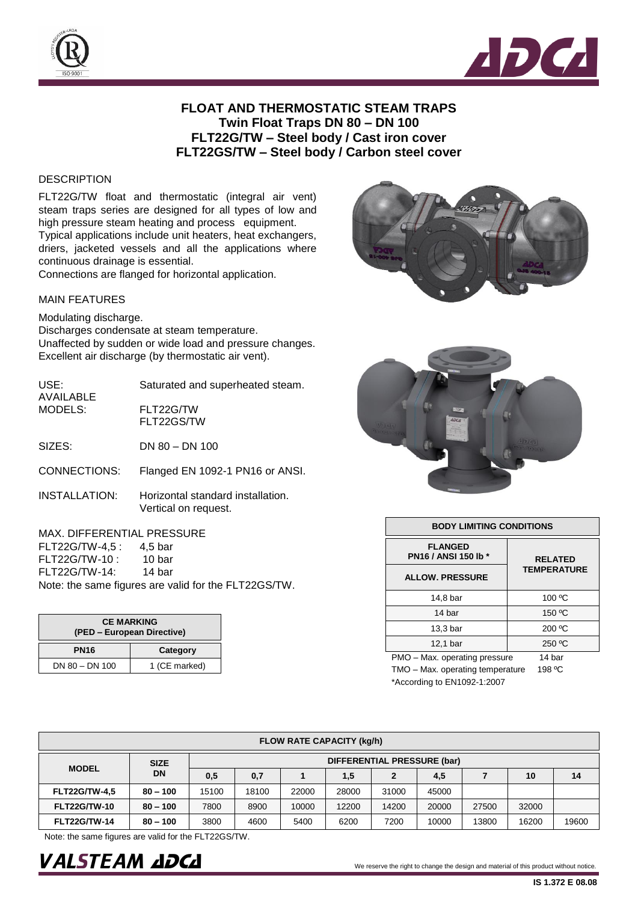



## **FLOAT AND THERMOSTATIC STEAM TRAPS Twin Float Traps DN 80 – DN 100 FLT22G/TW – Steel body / Cast iron cover FLT22GS/TW – Steel body / Carbon steel cover**

## **DESCRIPTION**

FLT22G/TW float and thermostatic (integral air vent) steam traps series are designed for all types of low and high pressure steam heating and process equipment. Typical applications include unit heaters, heat exchangers, driers, jacketed vessels and all the applications where continuous drainage is essential.

Connections are flanged for horizontal application.

## MAIN FEATURES

Modulating discharge. Discharges condensate at steam temperature. Unaffected by sudden or wide load and pressure changes. Excellent air discharge (by thermostatic air vent).

| USE:<br>AVAILABLE<br>MODELS: | Saturated and superheated steam.                          |  |  |  |  |
|------------------------------|-----------------------------------------------------------|--|--|--|--|
|                              | FLT22G/TW<br>FLT22GS/TW                                   |  |  |  |  |
| SIZES:                       | $DN 80 - DN 100$                                          |  |  |  |  |
| CONNECTIONS:                 | Flanged EN 1092-1 PN16 or ANSI.                           |  |  |  |  |
| <b>INSTALLATION:</b>         | Horizontal standard installation.<br>Vertical on request. |  |  |  |  |

## MAX. DIFFERENTIAL PRESSURE

| 4.5 bar                                              |  |  |  |  |  |  |  |
|------------------------------------------------------|--|--|--|--|--|--|--|
| 10 bar                                               |  |  |  |  |  |  |  |
| 14 bar                                               |  |  |  |  |  |  |  |
| Note: the same figures are valid for the FLT22GS/TW. |  |  |  |  |  |  |  |
|                                                      |  |  |  |  |  |  |  |

| <b>CE MARKING</b><br>(PED – European Directive) |               |  |  |  |
|-------------------------------------------------|---------------|--|--|--|
| <b>PN16</b>                                     | Category      |  |  |  |
| $DN 80 - DN 100$                                | 1 (CE marked) |  |  |  |





| <b>BODY LIMITING CONDITIONS</b>        |                                      |  |  |  |  |
|----------------------------------------|--------------------------------------|--|--|--|--|
| <b>FLANGED</b><br>PN16 / ANSI 150 lb * | <b>RELATED</b><br><b>TEMPERATURE</b> |  |  |  |  |
| <b>ALLOW. PRESSURE</b>                 |                                      |  |  |  |  |
| 14,8 bar                               | 100 °C                               |  |  |  |  |
| 14 bar                                 | 150 °C                               |  |  |  |  |
| 13.3 <sub>bar</sub>                    | 200 °C                               |  |  |  |  |
| 12,1 bar                               | 250 °C                               |  |  |  |  |
| PMO - Max. operating pressure          | 14 bar                               |  |  |  |  |

TMO - Max. operating temperature 198 °C \*According to EN1092-1:2007

| <b>FLOW RATE CAPACITY (kg/h)</b> |                          |                             |       |       |       |              |       |       |       |       |
|----------------------------------|--------------------------|-----------------------------|-------|-------|-------|--------------|-------|-------|-------|-------|
| <b>MODEL</b>                     | <b>SIZE</b><br><b>DN</b> | DIFFERENTIAL PRESSURE (bar) |       |       |       |              |       |       |       |       |
|                                  |                          | 0,5                         | 0,7   |       | 1,5   | $\mathbf{2}$ | 4,5   |       | 10    | 14    |
| <b>FLT22G/TW-4.5</b>             | $80 - 100$               | 15100                       | 18100 | 22000 | 28000 | 31000        | 45000 |       |       |       |
| <b>FLT22G/TW-10</b>              | $80 - 100$               | 7800                        | 8900  | 10000 | 12200 | 14200        | 20000 | 27500 | 32000 |       |
| <b>FLT22G/TW-14</b>              | $80 - 100$               | 3800                        | 4600  | 5400  | 6200  | 7200         | 10000 | 13800 | 16200 | 19600 |

Note: the same figures are valid for the FLT22GS/TW.